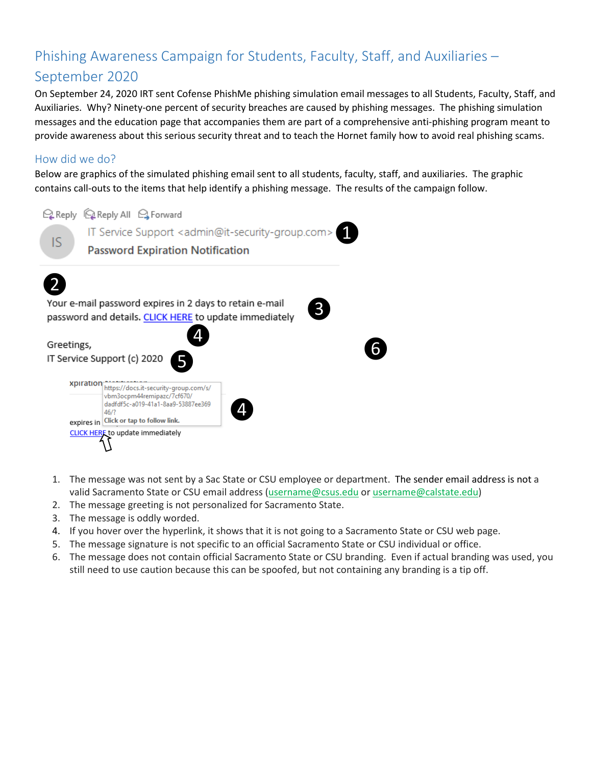# Phishing Awareness Campaign for Students, Faculty, Staff, and Auxiliaries – September 2020

On September 24, 2020 IRT sent Cofense PhishMe phishing simulation email messages to all Students, Faculty, Staff, and Auxiliaries. Why? Ninety-one percent of security breaches are caused by phishing messages. The phishing simulation messages and the education page that accompanies them are part of a comprehensive anti-phishing program meant to provide awareness about this serious security threat and to teach the Hornet family how to avoid real phishing scams.

# How did we do?

Below are graphics of the simulated phishing email sent to all students, faculty, staff, and auxiliaries. The graphic contains call-outs to the items that help identify a phishing message. The results of the campaign follow.



- 1. The message was not sent by a Sac State or CSU employee or department. The sender email address is not a valid Sacramento State or CSU email address [\(username@csus.edu](mailto:username@csus.edu) or username@calstate.edu)
- 2. The message greeting is not personalized for Sacramento State.
- 3. The message is oddly worded.
- 4. If you hover over the hyperlink, it shows that it is not going to a Sacramento State or CSU web page.
- 5. The message signature is not specific to an official Sacramento State or CSU individual or office.
- 6. The message does not contain official Sacramento State or CSU branding. Even if actual branding was used, you still need to use caution because this can be spoofed, but not containing any branding is a tip off.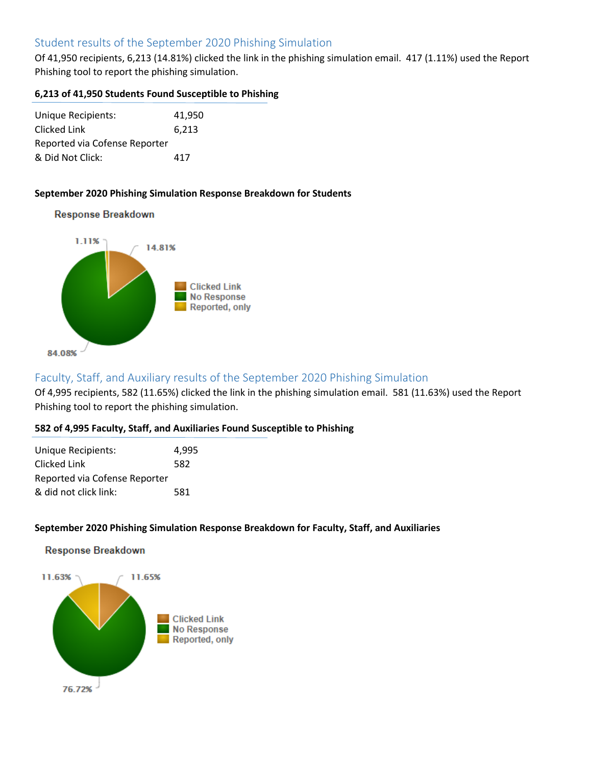# Student results of the September 2020 Phishing Simulation

Of 41,950 recipients, 6,213 (14.81%) clicked the link in the phishing simulation email. 417 (1.11%) used the Report Phishing tool to report the phishing simulation.

#### **6,213 of 41,950 Students Found Susceptible to Phishing**

| Unique Recipients:            | 41.950 |
|-------------------------------|--------|
| Clicked Link                  | 6,213  |
| Reported via Cofense Reporter |        |
| & Did Not Click:              | 417    |

#### **September 2020 Phishing Simulation Response Breakdown for Students**

#### **Response Breakdown**



# Faculty, Staff, and Auxiliary results of the September 2020 Phishing Simulation

Of 4,995 recipients, 582 (11.65%) clicked the link in the phishing simulation email. 581 (11.63%) used the Report Phishing tool to report the phishing simulation.

#### **582 of 4,995 Faculty, Staff, and Auxiliaries Found Susceptible to Phishing**

| Unique Recipients:            | 4.995 |
|-------------------------------|-------|
| Clicked Link                  | 582   |
| Reported via Cofense Reporter |       |
| & did not click link:         | 581   |

#### **September 2020 Phishing Simulation Response Breakdown for Faculty, Staff, and Auxiliaries**

#### **Response Breakdown**